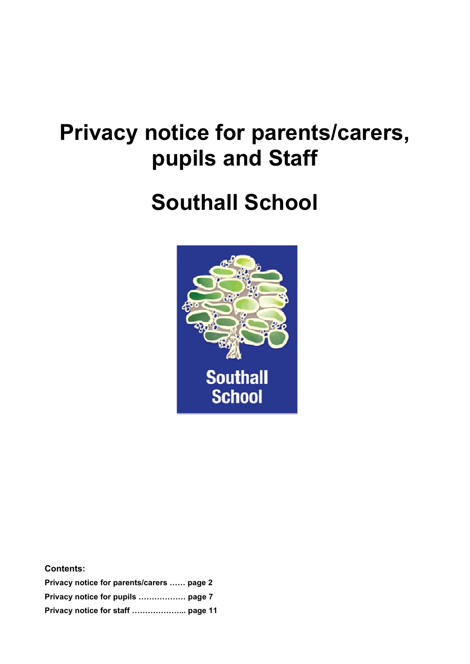# **Privacy notice for parents/carers, pupils and Staff**

# **Southall School**



| <b>Contents:</b>                          |  |
|-------------------------------------------|--|
| Privacy notice for parents/carers  page 2 |  |
| Privacy notice for pupils  page 7         |  |
|                                           |  |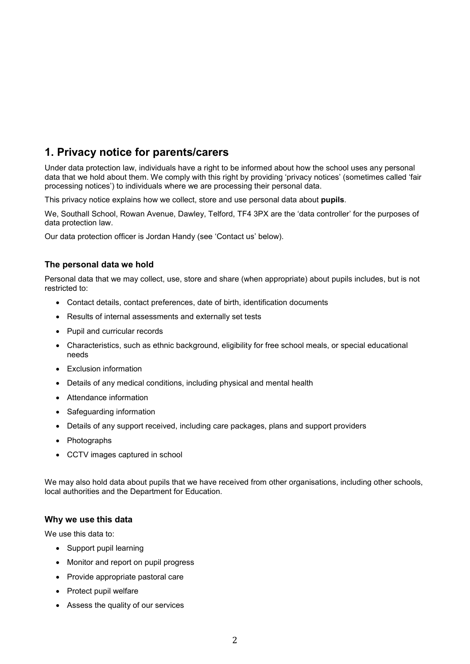# **1. Privacy notice for parents/carers**

Under data protection law, individuals have a right to be informed about how the school uses any personal data that we hold about them. We comply with this right by providing 'privacy notices' (sometimes called 'fair processing notices') to individuals where we are processing their personal data.

This privacy notice explains how we collect, store and use personal data about **pupils**.

We, Southall School, Rowan Avenue, Dawley, Telford, TF4 3PX are the 'data controller' for the purposes of data protection law.

Our data protection officer is Jordan Handy (see 'Contact us' below).

# **The personal data we hold**

Personal data that we may collect, use, store and share (when appropriate) about pupils includes, but is not restricted to:

- Contact details, contact preferences, date of birth, identification documents
- Results of internal assessments and externally set tests
- Pupil and curricular records
- Characteristics, such as ethnic background, eligibility for free school meals, or special educational needs
- Exclusion information
- Details of any medical conditions, including physical and mental health
- Attendance information
- Safeguarding information
- Details of any support received, including care packages, plans and support providers
- Photographs
- CCTV images captured in school

We may also hold data about pupils that we have received from other organisations, including other schools, local authorities and the Department for Education.

# **Why we use this data**

We use this data to:

- Support pupil learning
- Monitor and report on pupil progress
- Provide appropriate pastoral care
- Protect pupil welfare
- Assess the quality of our services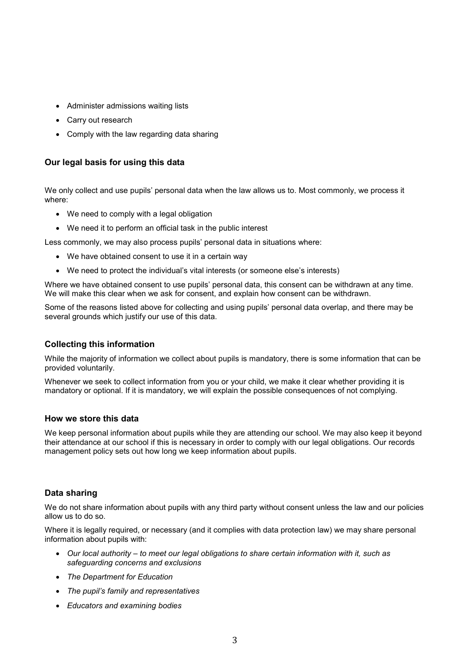- Administer admissions waiting lists
- Carry out research
- Comply with the law regarding data sharing

# **Our legal basis for using this data**

We only collect and use pupils' personal data when the law allows us to. Most commonly, we process it where:

- We need to comply with a legal obligation
- We need it to perform an official task in the public interest

Less commonly, we may also process pupils' personal data in situations where:

- We have obtained consent to use it in a certain way
- We need to protect the individual's vital interests (or someone else's interests)

Where we have obtained consent to use pupils' personal data, this consent can be withdrawn at any time. We will make this clear when we ask for consent, and explain how consent can be withdrawn.

Some of the reasons listed above for collecting and using pupils' personal data overlap, and there may be several grounds which justify our use of this data.

# **Collecting this information**

While the majority of information we collect about pupils is mandatory, there is some information that can be provided voluntarily.

Whenever we seek to collect information from you or your child, we make it clear whether providing it is mandatory or optional. If it is mandatory, we will explain the possible consequences of not complying.

# **How we store this data**

We keep personal information about pupils while they are attending our school. We may also keep it beyond their attendance at our school if this is necessary in order to comply with our legal obligations. Our records management policy sets out how long we keep information about pupils.

# **Data sharing**

We do not share information about pupils with any third party without consent unless the law and our policies allow us to do so.

Where it is legally required, or necessary (and it complies with data protection law) we may share personal information about pupils with:

- *Our local authority – to meet our legal obligations to share certain information with it, such as safeguarding concerns and exclusions*
- *The Department for Education*
- *The pupil's family and representatives*
- *Educators and examining bodies*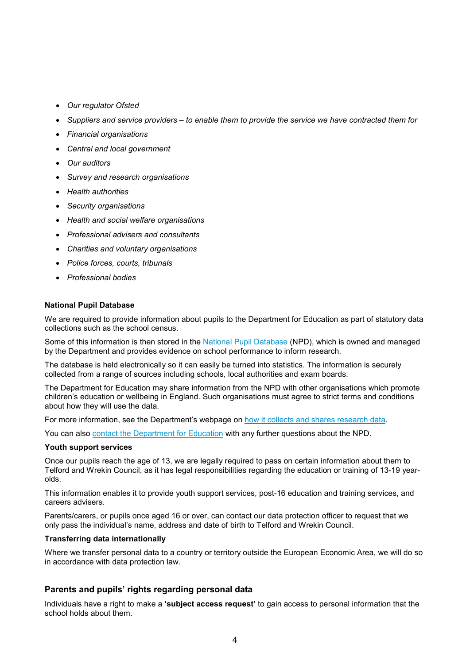- *Our regulator Ofsted*
- *Suppliers and service providers – to enable them to provide the service we have contracted them for*
- *Financial organisations*
- *Central and local government*
- *Our auditors*
- *Survey and research organisations*
- *Health authorities*
- *Security organisations*
- *Health and social welfare organisations*
- *Professional advisers and consultants*
- *Charities and voluntary organisations*
- *Police forces, courts, tribunals*
- *Professional bodies*

#### **National Pupil Database**

We are required to provide information about pupils to the Department for Education as part of statutory data collections such as the school census.

Some of this information is then stored in the National Pupil Database (NPD), which is owned and managed by the Department and provides evidence on school performance to inform research.

The database is held electronically so it can easily be turned into statistics. The information is securely collected from a range of sources including schools, local authorities and exam boards.

The Department for Education may share information from the NPD with other organisations which promote children's education or wellbeing in England. Such organisations must agree to strict terms and conditions about how they will use the data.

For more information, see the Department's webpage on how it collects and shares research data.

You can also contact the Department for Education with any further questions about the NPD.

#### **Youth support services**

Once our pupils reach the age of 13, we are legally required to pass on certain information about them to Telford and Wrekin Council, as it has legal responsibilities regarding the education or training of 13-19 yearolds.

This information enables it to provide youth support services, post-16 education and training services, and careers advisers.

Parents/carers, or pupils once aged 16 or over, can contact our data protection officer to request that we only pass the individual's name, address and date of birth to Telford and Wrekin Council.

#### **Transferring data internationally**

Where we transfer personal data to a country or territory outside the European Economic Area, we will do so in accordance with data protection law.

# **Parents and pupils' rights regarding personal data**

Individuals have a right to make a **'subject access request'** to gain access to personal information that the school holds about them.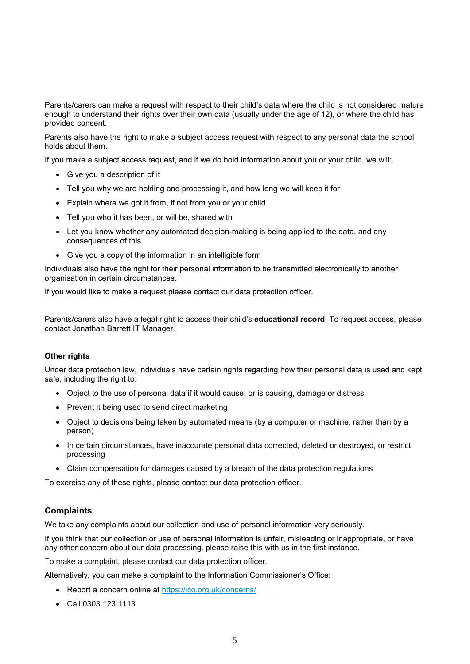Parents/carers can make a request with respect to their child's data where the child is not considered mature enough to understand their rights over their own data (usually under the age of 12), or where the child has provided consent.

Parents also have the right to make a subject access request with respect to any personal data the school holds about them.

If you make a subject access request, and if we do hold information about you or your child, we will:

- Give you a description of it
- Tell you why we are holding and processing it, and how long we will keep it for
- Explain where we got it from, if not from you or your child
- Tell you who it has been, or will be, shared with
- Let you know whether any automated decision-making is being applied to the data, and any consequences of this
- Give you a copy of the information in an intelligible form

Individuals also have the right for their personal information to be transmitted electronically to another organisation in certain circumstances.

If you would like to make a request please contact our data protection officer.

Parents/carers also have a legal right to access their child's **educational record**. To request access, please contact Jonathan Barrett IT Manager.

#### **Other rights**

Under data protection law, individuals have certain rights regarding how their personal data is used and kept safe, including the right to:

- Object to the use of personal data if it would cause, or is causing, damage or distress
- Prevent it being used to send direct marketing
- Object to decisions being taken by automated means (by a computer or machine, rather than by a person)
- In certain circumstances, have inaccurate personal data corrected, deleted or destroyed, or restrict processing
- Claim compensation for damages caused by a breach of the data protection regulations

To exercise any of these rights, please contact our data protection officer.

# **Complaints**

We take any complaints about our collection and use of personal information very seriously.

If you think that our collection or use of personal information is unfair, misleading or inappropriate, or have any other concern about our data processing, please raise this with us in the first instance.

To make a complaint, please contact our data protection officer.

Alternatively, you can make a complaint to the Information Commissioner's Office:

- Report a concern online at https://ico.org.uk/concerns/
- Call 0303 123 1113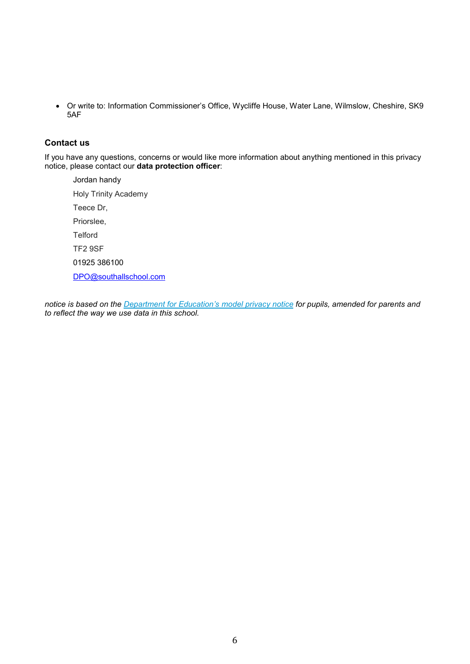Or write to: Information Commissioner's Office, Wycliffe House, Water Lane, Wilmslow, Cheshire, SK9 5AF

# **Contact us**

If you have any questions, concerns or would like more information about anything mentioned in this privacy notice, please contact our **data protection officer**:

Jordan handy Holy Trinity Academy Teece Dr, Priorslee, **Telford** TF2 9SF 01925 386100 DPO@southallschool.com

*notice is based on the Department for Education's model privacy notice for pupils, amended for parents and to reflect the way we use data in this school.*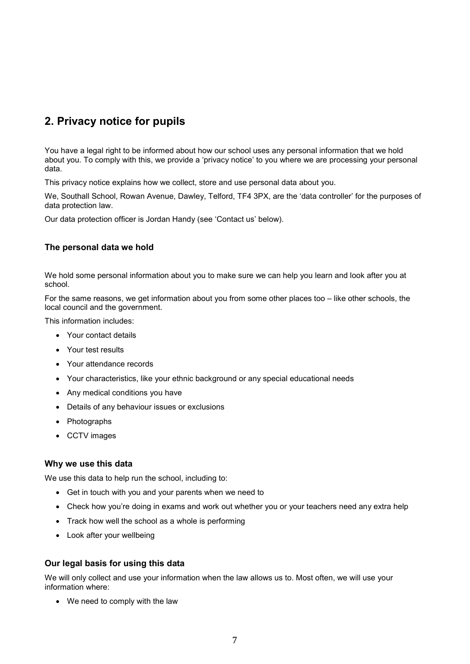# **2. Privacy notice for pupils**

You have a legal right to be informed about how our school uses any personal information that we hold about you. To comply with this, we provide a 'privacy notice' to you where we are processing your personal data.

This privacy notice explains how we collect, store and use personal data about you.

We, Southall School, Rowan Avenue, Dawley, Telford, TF4 3PX, are the 'data controller' for the purposes of data protection law.

Our data protection officer is Jordan Handy (see 'Contact us' below).

# **The personal data we hold**

We hold some personal information about you to make sure we can help you learn and look after you at school.

For the same reasons, we get information about you from some other places too – like other schools, the local council and the government.

This information includes:

- Your contact details
- Your test results
- Your attendance records
- Your characteristics, like your ethnic background or any special educational needs
- Any medical conditions you have
- Details of any behaviour issues or exclusions
- Photographs
- CCTV images

# **Why we use this data**

We use this data to help run the school, including to:

- Get in touch with you and your parents when we need to
- Check how you're doing in exams and work out whether you or your teachers need any extra help
- Track how well the school as a whole is performing
- Look after your wellbeing

# **Our legal basis for using this data**

We will only collect and use your information when the law allows us to. Most often, we will use your information where:

• We need to comply with the law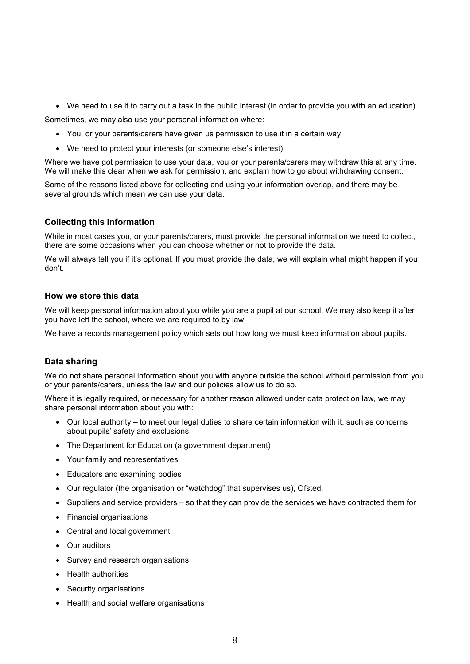We need to use it to carry out a task in the public interest (in order to provide you with an education)

Sometimes, we may also use your personal information where:

- You, or your parents/carers have given us permission to use it in a certain way
- We need to protect your interests (or someone else's interest)

Where we have got permission to use your data, you or your parents/carers may withdraw this at any time. We will make this clear when we ask for permission, and explain how to go about withdrawing consent.

Some of the reasons listed above for collecting and using your information overlap, and there may be several grounds which mean we can use your data.

# **Collecting this information**

While in most cases you, or your parents/carers, must provide the personal information we need to collect, there are some occasions when you can choose whether or not to provide the data.

We will always tell you if it's optional. If you must provide the data, we will explain what might happen if you don't.

# **How we store this data**

We will keep personal information about you while you are a pupil at our school. We may also keep it after you have left the school, where we are required to by law.

We have a records management policy which sets out how long we must keep information about pupils.

# **Data sharing**

We do not share personal information about you with anyone outside the school without permission from you or your parents/carers, unless the law and our policies allow us to do so.

Where it is legally required, or necessary for another reason allowed under data protection law, we may share personal information about you with:

- Our local authority to meet our legal duties to share certain information with it, such as concerns about pupils' safety and exclusions
- The Department for Education (a government department)
- Your family and representatives
- Educators and examining bodies
- Our regulator (the organisation or "watchdog" that supervises us), Ofsted.
- Suppliers and service providers so that they can provide the services we have contracted them for
- Financial organisations
- Central and local government
- Our auditors
- Survey and research organisations
- Health authorities
- Security organisations
- Health and social welfare organisations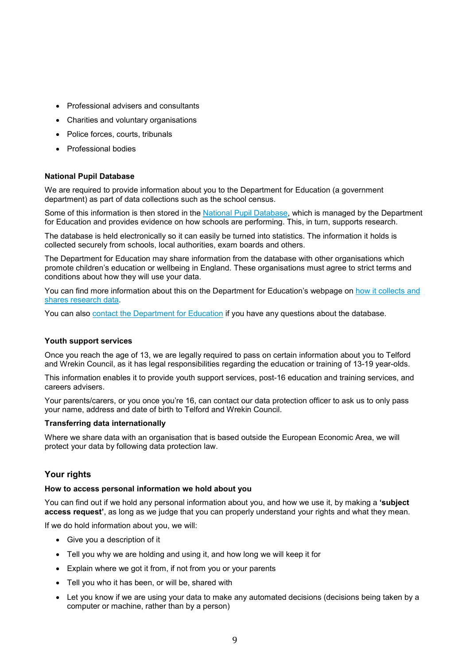- Professional advisers and consultants
- Charities and voluntary organisations
- Police forces, courts, tribunals
- Professional bodies

#### **National Pupil Database**

We are required to provide information about you to the Department for Education (a government department) as part of data collections such as the school census.

Some of this information is then stored in the National Pupil Database, which is managed by the Department for Education and provides evidence on how schools are performing. This, in turn, supports research.

The database is held electronically so it can easily be turned into statistics. The information it holds is collected securely from schools, local authorities, exam boards and others.

The Department for Education may share information from the database with other organisations which promote children's education or wellbeing in England. These organisations must agree to strict terms and conditions about how they will use your data.

You can find more information about this on the Department for Education's webpage on how it collects and shares research data.

You can also contact the Department for Education if you have any questions about the database.

#### **Youth support services**

Once you reach the age of 13, we are legally required to pass on certain information about you to Telford and Wrekin Council, as it has legal responsibilities regarding the education or training of 13-19 year-olds.

This information enables it to provide youth support services, post-16 education and training services, and careers advisers.

Your parents/carers, or you once you're 16, can contact our data protection officer to ask us to only pass your name, address and date of birth to Telford and Wrekin Council.

#### **Transferring data internationally**

Where we share data with an organisation that is based outside the European Economic Area, we will protect your data by following data protection law.

# **Your rights**

#### **How to access personal information we hold about you**

You can find out if we hold any personal information about you, and how we use it, by making a **'subject access request'**, as long as we judge that you can properly understand your rights and what they mean.

If we do hold information about you, we will:

- Give you a description of it
- Tell you why we are holding and using it, and how long we will keep it for
- Explain where we got it from, if not from you or your parents
- Tell you who it has been, or will be, shared with
- Let you know if we are using your data to make any automated decisions (decisions being taken by a computer or machine, rather than by a person)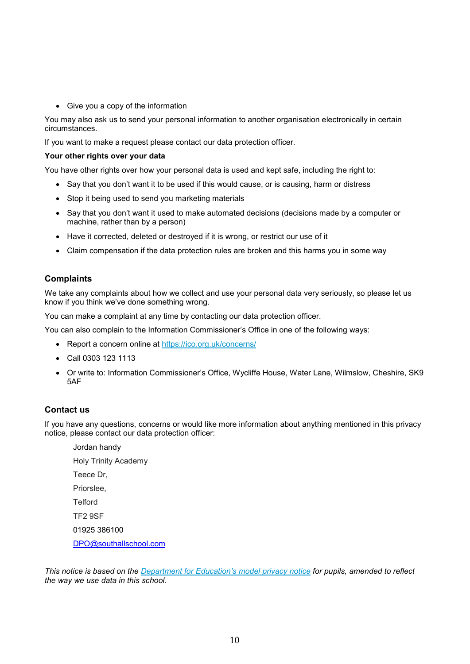Give you a copy of the information

You may also ask us to send your personal information to another organisation electronically in certain circumstances.

If you want to make a request please contact our data protection officer.

#### **Your other rights over your data**

You have other rights over how your personal data is used and kept safe, including the right to:

- Say that you don't want it to be used if this would cause, or is causing, harm or distress
- Stop it being used to send you marketing materials
- Say that you don't want it used to make automated decisions (decisions made by a computer or machine, rather than by a person)
- Have it corrected, deleted or destroyed if it is wrong, or restrict our use of it
- Claim compensation if the data protection rules are broken and this harms you in some way

# **Complaints**

We take any complaints about how we collect and use your personal data very seriously, so please let us know if you think we've done something wrong.

You can make a complaint at any time by contacting our data protection officer.

You can also complain to the Information Commissioner's Office in one of the following ways:

- Report a concern online at https://ico.org.uk/concerns/
- Call 0303 123 1113
- Or write to: Information Commissioner's Office, Wycliffe House, Water Lane, Wilmslow, Cheshire, SK9 5AF

# **Contact us**

If you have any questions, concerns or would like more information about anything mentioned in this privacy notice, please contact our data protection officer:

Jordan handy Holy Trinity Academy Teece Dr, Priorslee, **Telford** TF2 9SF 01925 386100 DPO@southallschool.com

*This notice is based on the Department for Education's model privacy notice for pupils, amended to reflect the way we use data in this school.*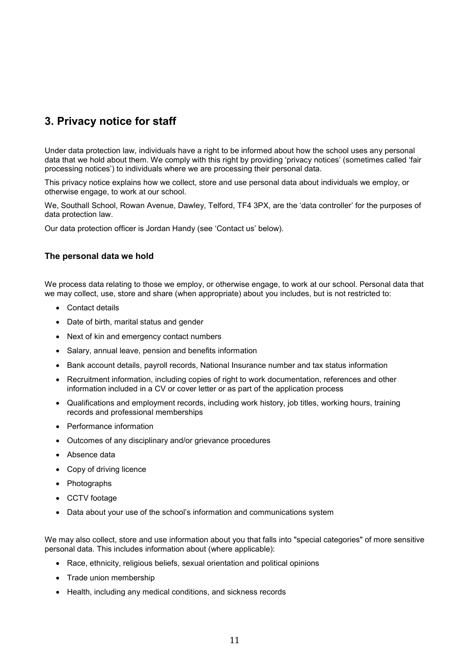# **3. Privacy notice for staff**

Under data protection law, individuals have a right to be informed about how the school uses any personal data that we hold about them. We comply with this right by providing 'privacy notices' (sometimes called 'fair processing notices') to individuals where we are processing their personal data.

This privacy notice explains how we collect, store and use personal data about individuals we employ, or otherwise engage, to work at our school.

We, Southall School, Rowan Avenue, Dawley, Telford, TF4 3PX, are the 'data controller' for the purposes of data protection law.

Our data protection officer is Jordan Handy (see 'Contact us' below).

# **The personal data we hold**

We process data relating to those we employ, or otherwise engage, to work at our school. Personal data that we may collect, use, store and share (when appropriate) about you includes, but is not restricted to:

- Contact details
- Date of birth, marital status and gender
- Next of kin and emergency contact numbers
- Salary, annual leave, pension and benefits information
- Bank account details, payroll records, National Insurance number and tax status information
- Recruitment information, including copies of right to work documentation, references and other information included in a CV or cover letter or as part of the application process
- Qualifications and employment records, including work history, job titles, working hours, training records and professional memberships
- Performance information
- Outcomes of any disciplinary and/or grievance procedures
- Absence data
- Copy of driving licence
- Photographs
- CCTV footage
- Data about your use of the school's information and communications system

We may also collect, store and use information about you that falls into "special categories" of more sensitive personal data. This includes information about (where applicable):

- Race, ethnicity, religious beliefs, sexual orientation and political opinions
- Trade union membership
- Health, including any medical conditions, and sickness records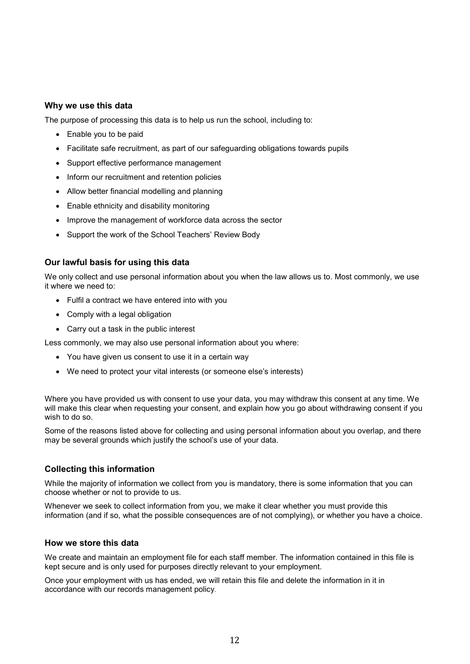# **Why we use this data**

The purpose of processing this data is to help us run the school, including to:

- Enable you to be paid
- Facilitate safe recruitment, as part of our safeguarding obligations towards pupils
- Support effective performance management
- Inform our recruitment and retention policies
- Allow better financial modelling and planning
- Enable ethnicity and disability monitoring
- Improve the management of workforce data across the sector
- Support the work of the School Teachers' Review Body

# **Our lawful basis for using this data**

We only collect and use personal information about you when the law allows us to. Most commonly, we use it where we need to:

- Fulfil a contract we have entered into with you
- Comply with a legal obligation
- Carry out a task in the public interest

Less commonly, we may also use personal information about you where:

- You have given us consent to use it in a certain way
- We need to protect your vital interests (or someone else's interests)

Where you have provided us with consent to use your data, you may withdraw this consent at any time. We will make this clear when requesting your consent, and explain how you go about withdrawing consent if you wish to do so.

Some of the reasons listed above for collecting and using personal information about you overlap, and there may be several grounds which justify the school's use of your data.

# **Collecting this information**

While the majority of information we collect from you is mandatory, there is some information that you can choose whether or not to provide to us.

Whenever we seek to collect information from you, we make it clear whether you must provide this information (and if so, what the possible consequences are of not complying), or whether you have a choice.

# **How we store this data**

We create and maintain an employment file for each staff member. The information contained in this file is kept secure and is only used for purposes directly relevant to your employment.

Once your employment with us has ended, we will retain this file and delete the information in it in accordance with our records management policy.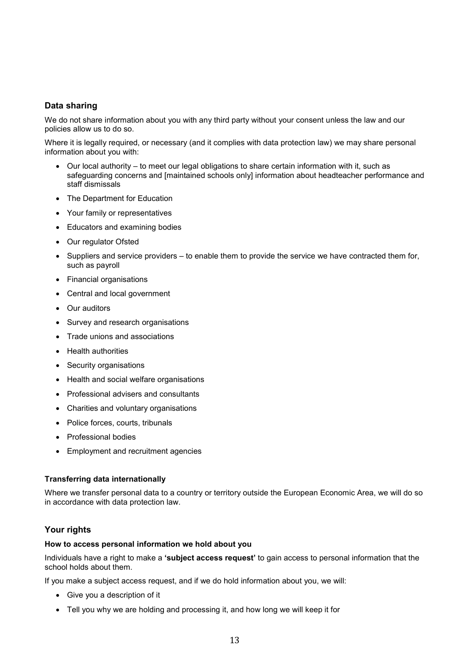# **Data sharing**

We do not share information about you with any third party without your consent unless the law and our policies allow us to do so.

Where it is legally required, or necessary (and it complies with data protection law) we may share personal information about you with:

- Our local authority to meet our legal obligations to share certain information with it, such as safeguarding concerns and [maintained schools only] information about headteacher performance and staff dismissals
- The Department for Education
- Your family or representatives
- Educators and examining bodies
- Our regulator Ofsted
- Suppliers and service providers to enable them to provide the service we have contracted them for, such as payroll
- Financial organisations
- Central and local government
- Our auditors
- Survey and research organisations
- Trade unions and associations
- Health authorities
- Security organisations
- Health and social welfare organisations
- Professional advisers and consultants
- Charities and voluntary organisations
- Police forces, courts, tribunals
- Professional bodies
- Employment and recruitment agencies

# **Transferring data internationally**

Where we transfer personal data to a country or territory outside the European Economic Area, we will do so in accordance with data protection law.

# **Your rights**

#### **How to access personal information we hold about you**

Individuals have a right to make a **'subject access request'** to gain access to personal information that the school holds about them.

If you make a subject access request, and if we do hold information about you, we will:

- Give you a description of it
- Tell you why we are holding and processing it, and how long we will keep it for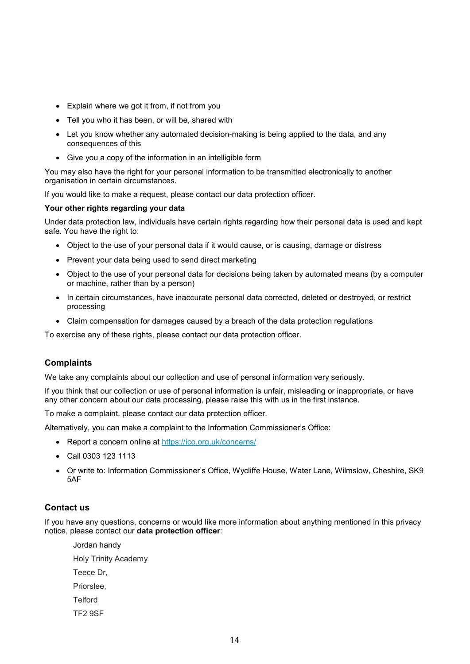- Explain where we got it from, if not from you
- Tell you who it has been, or will be, shared with
- Let you know whether any automated decision-making is being applied to the data, and any consequences of this
- Give you a copy of the information in an intelligible form

You may also have the right for your personal information to be transmitted electronically to another organisation in certain circumstances.

If you would like to make a request, please contact our data protection officer.

#### **Your other rights regarding your data**

Under data protection law, individuals have certain rights regarding how their personal data is used and kept safe. You have the right to:

- Object to the use of your personal data if it would cause, or is causing, damage or distress
- Prevent your data being used to send direct marketing
- Object to the use of your personal data for decisions being taken by automated means (by a computer or machine, rather than by a person)
- In certain circumstances, have inaccurate personal data corrected, deleted or destroyed, or restrict processing
- Claim compensation for damages caused by a breach of the data protection regulations

To exercise any of these rights, please contact our data protection officer.

# **Complaints**

We take any complaints about our collection and use of personal information very seriously.

If you think that our collection or use of personal information is unfair, misleading or inappropriate, or have any other concern about our data processing, please raise this with us in the first instance.

To make a complaint, please contact our data protection officer.

Alternatively, you can make a complaint to the Information Commissioner's Office:

- Report a concern online at https://ico.org.uk/concerns/
- Call 0303 123 1113
- Or write to: Information Commissioner's Office, Wycliffe House, Water Lane, Wilmslow, Cheshire, SK9 5AF

# **Contact us**

If you have any questions, concerns or would like more information about anything mentioned in this privacy notice, please contact our **data protection officer**:

Jordan handy Holy Trinity Academy Teece Dr, Priorslee, **Telford** TF2 9SF